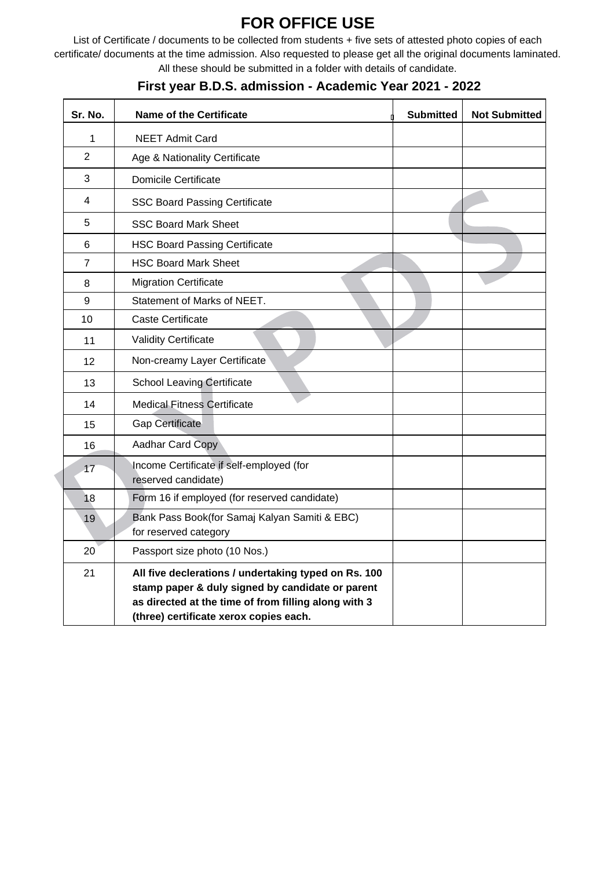## **FOR OFFICE USE**

List of Certificate / documents to be collected from students + five sets of attested photo copies of each certificate/ documents at the time admission. Also requested to please get all the original documents laminated. All these should be submitted in a folder with details of candidate.

| Sr. No.        | <b>Name of the Certificate</b>                                                                                                                                                                             | <b>Submitted</b> | <b>Not Submitted</b> |
|----------------|------------------------------------------------------------------------------------------------------------------------------------------------------------------------------------------------------------|------------------|----------------------|
| 1              | <b>NEET Admit Card</b>                                                                                                                                                                                     |                  |                      |
| 2              | Age & Nationality Certificate                                                                                                                                                                              |                  |                      |
| 3              | <b>Domicile Certificate</b>                                                                                                                                                                                |                  |                      |
| 4              | <b>SSC Board Passing Certificate</b>                                                                                                                                                                       |                  |                      |
| 5              | <b>SSC Board Mark Sheet</b>                                                                                                                                                                                |                  |                      |
| 6              | <b>HSC Board Passing Certificate</b>                                                                                                                                                                       |                  |                      |
| $\overline{7}$ | <b>HSC Board Mark Sheet</b>                                                                                                                                                                                |                  |                      |
| 8              | <b>Migration Certificate</b>                                                                                                                                                                               |                  |                      |
| 9              | Statement of Marks of NEET.                                                                                                                                                                                |                  |                      |
| 10             | <b>Caste Certificate</b>                                                                                                                                                                                   |                  |                      |
| 11             | <b>Validity Certificate</b>                                                                                                                                                                                |                  |                      |
| 12             | Non-creamy Layer Certificate                                                                                                                                                                               |                  |                      |
| 13             | <b>School Leaving Certificate</b>                                                                                                                                                                          |                  |                      |
| 14             | <b>Medical Fitness Certificate</b>                                                                                                                                                                         |                  |                      |
| 15             | <b>Gap Certificate</b>                                                                                                                                                                                     |                  |                      |
| 16             | Aadhar Card Copy                                                                                                                                                                                           |                  |                      |
| 17             | Income Certificate if self-employed (for<br>reserved candidate)                                                                                                                                            |                  |                      |
| 18             | Form 16 if employed (for reserved candidate)                                                                                                                                                               |                  |                      |
| 19             | Bank Pass Book(for Samaj Kalyan Samiti & EBC)<br>for reserved category                                                                                                                                     |                  |                      |
| 20             | Passport size photo (10 Nos.)                                                                                                                                                                              |                  |                      |
| 21             | All five declerations / undertaking typed on Rs. 100<br>stamp paper & duly signed by candidate or parent<br>as directed at the time of from filling along with 3<br>(three) certificate xerox copies each. |                  |                      |

## **First year B.D.S. admission - Academic Year 2021 - 2022**